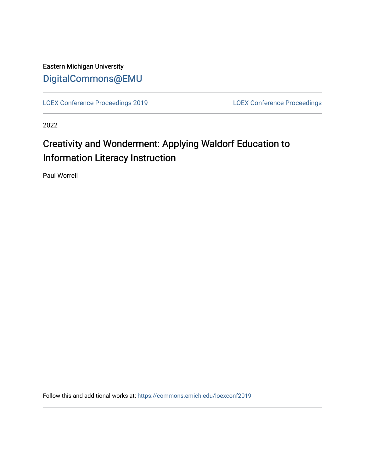Eastern Michigan University [DigitalCommons@EMU](https://commons.emich.edu/) 

[LOEX Conference Proceedings 2019](https://commons.emich.edu/loexconf2019) [LOEX Conference Proceedings](https://commons.emich.edu/loexconf) 

2022

## Creativity and Wonderment: Applying Waldorf Education to Information Literacy Instruction

Paul Worrell

Follow this and additional works at: [https://commons.emich.edu/loexconf2019](https://commons.emich.edu/loexconf2019?utm_source=commons.emich.edu%2Floexconf2019%2F21&utm_medium=PDF&utm_campaign=PDFCoverPages)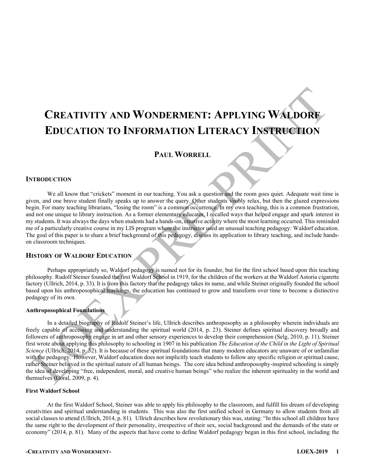# **CREATIVITY AND WONDERMENT: APPLYING WALDORF EDUCATION TO INFORMATION LITERACY INSTRUCTION**

## **PAUL WORRELL**

#### **INTRODUCTION**

We all know that "crickets" moment in our teaching. You ask a question and the room goes quiet. Adequate wait time is given, and one brave student finally speaks up to answer the query. Other students visibly relax, but then the glazed expressions begin. For many teaching librarians, "losing the room" is a common occurrence. In my own teaching, this is a common frustration, and not one unique to library instruction. As a former elementary educator, I recalled ways that helped engage and spark interest in my students. It was always the days when students had a hands-on, creative activity where the most learning occurred. This reminded me of a particularly creative course in my LIS program where the instructor used an unusual teaching pedagogy: Waldorf education. The goal of this paper is to share a brief background of this pedagogy, discuss its application to library teaching, and include handson classroom techniques.

## **HISTORY OF WALDORF EDUCATION**

Perhaps appropriately so, Waldorf pedagogy is named not for its founder, but for the first school based upon this teaching philosophy. Rudolf Steiner founded the first Waldorf School in 1919, for the children of the workers at the Waldorf Astoria cigarette factory (Ullrich, 2014, p. 33). It is from this factory that the pedagogy takes its name, and while Steiner originally founded the school based upon his anthroposophical teachings, the education has continued to grow and transform over time to become a distinctive pedagogy of its own.

## **Anthroposophical Foundations**

In a detailed biography of Rudolf Steiner's life, Ullrich describes anthroposophy as a philosophy wherein individuals are freely capable of accessing and understanding the spiritual world (2014, p. 23). Steiner defines spiritual discovery broadly and followers of anthroposophy engage in art and other sensory experiences to develop their comprehension (Selg, 2010, p. 11). Steiner first wrote about applying this philosophy to schooling in 1907 in his publication *The Education of the Child in the Light of Spiritual Science* (Ullrich, 2014, p. 32). It is because of these spiritual foundations that many modern educators are unaware of or unfamiliar with the pedagogy. However, Waldorf education does not implicitly teach students to follow any specific religion or spiritual cause, rather Steiner believed in the spiritual nature of all human beings. The core idea behind anthroposophy-inspired schooling is simply the idea of developing "free, independent, moral, and creative human beings" who realize the inherent spirituality in the world and themselves (Goral, 2009, p. 4).

#### **First Waldorf School**

At the first Waldorf School, Steiner was able to apply his philosophy to the classroom, and fulfill his dream of developing creativities and spiritual understanding in students. This was also the first unified school in Germany to allow students from all social classes to attend (Ullrich, 2014, p. 81). Ullrich describes how revolutionary this was, stating: "In this school all children have the same right to the development of their personality, irrespective of their sex, social background and the demands of the state or economy" (2014, p. 81). Many of the aspects that have come to define Waldorf pedagogy began in this first school, including the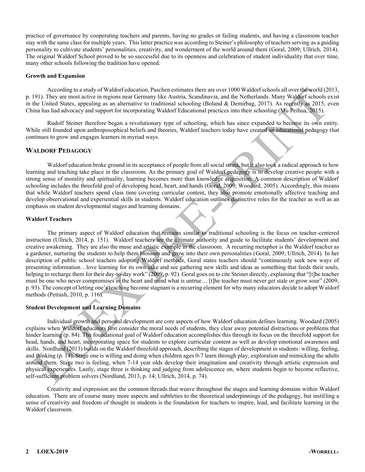practice of governance by cooperating teachers and parents, having no grades or failing students, and having a classroom teacher stay with the same class for multiple years. This latter practice was according to Steiner's philosophy of teachers serving as a guiding personality to cultivate students' personalities, creativity, and wonderment of the world around them (Goral, 2009; Ullrich, 2014). The original Waldorf School proved to be so successful due to its openness and celebration of student individuality that over time, many other schools following the tradition have opened.

#### **Growth and Expansion**

According to a study of Waldorf education, Paschen estimates there are over 1000 Waldorf schools all over the world (2013, p. 191). They are most active in regions near Germany like Austria, Scandinavia, and the Netherlands. Many Waldorf schools exist in the United States, appealing as an alternative to traditional schooling (Boland & Demirbag, 2017). As recently as 2015, even China has had advocacy and support for incorporating Waldorf Educational practices into their schooling (Mu Peihua, 2015).

Rudolf Steiner therefore began a revolutionary type of schooling, which has since expanded to become its own entity. While still founded upon anthroposophical beliefs and theories, Waldorf teachers today have created an educational pedagogy that continues to grow and engages learners in myriad ways.

## **WALDORF PEDAGOGY**

Waldorf education broke ground in its acceptance of people from all social strata, but it also took a radical approach to how learning and teaching take place in the classroom. As the primary goal of Waldorf pedagogy is to develop creative people with a strong sense of morality and spirituality, learning becomes more than knowledge acquisition. A common description of Waldorf schooling includes the threefold goal of developing head, heart, and hands (Goral, 2009; Woodard, 2005). Accordingly, this means that while Waldorf teachers spend class time covering curricular content, they also promote emotionally affective teaching and develop observational and experiential skills in students. Waldorf education outlines distinctive roles for the teacher as well as an emphasis on student developmental stages and learning domains.

#### **Waldorf Teachers**

The primary aspect of Waldorf education that remains similar to traditional schooling is the focus on teacher-centered instruction (Ullrich, 2014, p. 151). Waldorf teachers are the ultimate authority and guide to facilitate students' development and creative awakening. They are also the muse and artistic example in the classroom. A recurring metaphor is the Waldorf teacher as a gardener, nurturing the students to help them blossom and grow into their own personalities (Goral, 2009; Ullrich, 2014). In her description of public school teachers adopting Waldorf methods, Goral states teachers should "continuously seek new ways of presenting information... love learning for its own sake and see gathering new skills and ideas as something that feeds their souls, helping to recharge them for their day-to-day work" (2009, p. 92). Goral goes on to cite Steiner directly, explaining that "[t]he teacher must be one who never compromises in the heart and mind what is untrue... [t]he teacher must never get stale or grow sour" (2009, p. 93). The concept of letting one's teaching become stagnant is a recurring element for why many educators decide to adopt Waldorf methods (Petrash, 2010, p. 116).

## **Student Development and Learning Domains**

Individual growth and personal development are core aspects of how Waldorf education defines learning. Woodard (2005) explains when Waldorf educators first consider the moral needs of students, they clear away potential distractions or problems that hinder learning (p. 84). The foundational goal of Waldorf education accomplishes this through its focus on the threefold support for head, hands, and heart, incorporating space for students to explore curricular content as well as develop emotional awareness and skills. Nordlund (2013) builds on the Waldorf threefold approach, describing the stages of development in students: willing, feeling, and thinking (p. 14). Stage one is willing and doing when children ages 0-7 learn through play, exploration and mimicking the adults around them. Stage two is feeling, when 7-14 year olds develop their imagination and creativity through artistic expression and physical experiences. Lastly, stage three is thinking and judging from adolescence on, where students begin to become reflective, self-sufficient problem solvers (Nordlund, 2013, p. 14; Ullrich, 2014, p. 74).

Creativity and expression are the common threads that weave throughout the stages and learning domains within Waldorf education. There are of course many more aspects and subtleties to the theoretical underpinnings of the pedagogy, but instilling a sense of creativity and freedom of thought in students is the foundation for teachers to inspire, lead, and facilitate learning in the Waldorf classroom.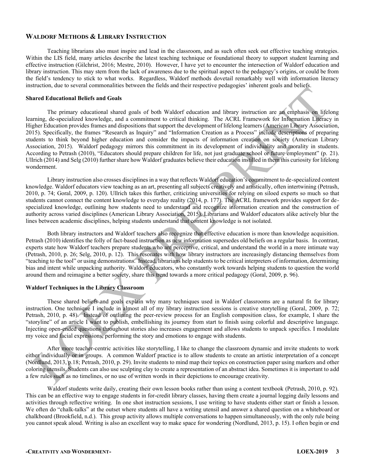## **WALDORF METHODS & LIBRARY INSTRUCTION**

Teaching librarians also must inspire and lead in the classroom, and as such often seek out effective teaching strategies. Within the LIS field, many articles describe the latest teaching technique or foundational theory to support student learning and effective instruction (Gilchrist, 2016; Mestre, 2010). However, I have yet to encounter the intersection of Waldorf education and library instruction. This may stem from the lack of awareness due to the spiritual aspect to the pedagogy's origins, or could be from the field's tendency to stick to what works. Regardless, Waldorf methods dovetail remarkably well with information literacy instruction, due to several commonalities between the fields and their respective pedagogies' inherent goals and beliefs.

#### **Shared Educational Beliefs and Goals**

The primary educational shared goals of both Waldorf education and library instruction are an emphasis on lifelong learning, de-specialized knowledge, and a commitment to critical thinking. The ACRL Framework for Information Literacy in Higher Education provides frames and dispositions that support the development of lifelong learners (American Library Association, 2015). Specifically, the frames "Research as Inquiry" and "Information Creation as a Process" include descriptions of preparing students to think beyond higher education and consider the impacts of information creation on society (American Library Association, 2015). Waldorf pedagogy mirrors this commitment in its development of individuality and morality in students. According to Petrash (2010), "Educators should prepare children for life, not just graduate school or future employment" (p. 21). Ullrich (2014) and Selg (2010) further share how Waldorf graduates believe their education instilled in them this curiosity for lifelong wonderment.

Library instruction also crosses disciplines in a way that reflects Waldorf education's commitment to de-specialized content knowledge. Waldorf educators view teaching as an art, presenting all subjects creatively and artistically, often intertwining (Petrash, 2010, p. 74; Goral, 2009, p. 120). Ullrich takes this further, criticizing universities for relying on siloed experts so much so that students cannot connect the content knowledge to everyday reality (2014, p. 177). The ACRL framework provides support for despecialized knowledge, outlining how students need to understand and recognize information creation and the construction of authority across varied disciplines (American Library Association, 2015). Librarians and Waldorf educators alike actively blur the lines between academic disciplines, helping students understand that content knowledge is not isolated.

Both library instructors and Waldorf teachers also recognize that effective education is more than knowledge acquisition. Petrash (2010) identifies the folly of fact-based instruction as new information supersedes old beliefs on a regular basis. In contrast, experts state how Waldorf teachers prepare students who are perceptive, critical, and understand the world in a more intimate way (Petrash, 2010, p. 26; Selg, 2010, p. 12). This resonates with how library instructors are increasingly distancing themselves from "teaching to the tool" or using demonstrations. Instead, librarians help students to be critical interpreters of information, determining bias and intent while unpacking authority. Waldorf educators, who constantly work towards helping students to question the world around them and reimagine a better society, share this trend towards a more critical pedagogy (Goral, 2009, p. 96).

## **Waldorf Techniques in the Library Classroom**

These shared beliefs and goals explain why many techniques used in Waldorf classrooms are a natural fit for library instruction. One technique I include in almost all of my library instruction sessions is creative storytelling (Goral, 2009, p. 72; Petrash, 2010, p. 48). Instead of outlining the peer-review process for an English composition class, for example, I share the "storyline" of an article I want to publish, embellishing its journey from start to finish using colorful and descriptive language. Injecting open-ended questions throughout stories also increases engagement and allows students to unpack specifics. I modulate my voice and facial expressions, performing the story and emotions to engage with students.

After more teacher-centric activities like storytelling, I like to change the classroom dynamic and invite students to work either individually or in groups. A common Waldorf practice is to allow students to create an artistic interpretation of a concept (Nordlund, 2013, p.18; Petrash, 2010, p. 29). Invite students to mind map their topics on construction paper using markers and other coloring utensils. Students can also use sculpting clay to create a representation of an abstract idea. Sometimes it is important to add a few rules such as no timelines, or no use of written words in their depictions to encourage creativity.

Waldorf students write daily, creating their own lesson books rather than using a content textbook (Petrash, 2010, p. 92). This can be an effective way to engage students in for-credit library classes, having them create a journal logging daily lessons and activities through reflective writing. In one shot instruction sessions, I use writing to have students either start or finish a lesson. We often do "chalk-talks" at the outset where students all have a writing utensil and answer a shared question on a whiteboard or chalkboard (Brookfield, n.d.). This group activity allows multiple conversations to happen simultaneously, with the only rule being you cannot speak aloud. Writing is also an excellent way to make space for wondering (Nordlund, 2013, p. 15). I often begin or end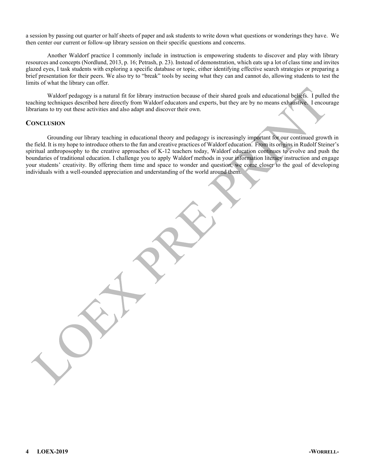a session by passing out quarter or half sheets of paper and ask students to write down what questions or wonderings they have. We then center our current or follow-up library session on their specific questions and concerns.

Another Waldorf practice I commonly include in instruction is empowering students to discover and play with library resources and concepts (Nordlund, 2013, p. 16; Petrash, p. 23). Instead of demonstration, which eats up a lot of class time and invites glazed eyes, I task students with exploring a specific database or topic, either identifying effective search strategies or preparing a brief presentation for their peers. We also try to "break" tools by seeing what they can and cannot do, allowing students to test the limits of what the library can offer.

Waldorf pedagogy is a natural fit for library instruction because of their shared goals and educational beliefs. I pulled the teaching techniques described here directly from Waldorf educators and experts, but they are by no means exhaustive. I encourage librarians to try out these activities and also adapt and discover their own.

#### **CONCLUSION**

Grounding our library teaching in educational theory and pedagogy is increasingly important for our continued growth in the field. It is my hope to introduce others to the fun and creative practices of Waldorf education. From its origins in Rudolf Steiner's spiritual anthroposophy to the creative approaches of K-12 teachers today, Waldorf education continues to evolve and push the boundaries of traditional education. I challenge you to apply Waldorf methods in your information literacy instruction and engage your students' creativity. By offering them time and space to wonder and question, we come closer to the goal of developing individuals with a well-rounded appreciation and understanding of the world around them.